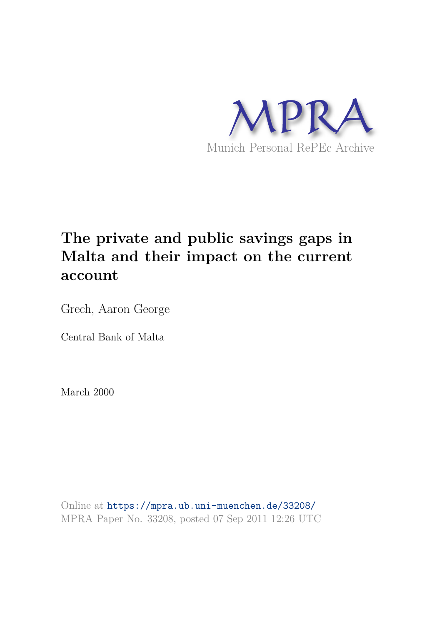

# **The private and public savings gaps in Malta and their impact on the current account**

Grech, Aaron George

Central Bank of Malta

March 2000

Online at https://mpra.ub.uni-muenchen.de/33208/ MPRA Paper No. 33208, posted 07 Sep 2011 12:26 UTC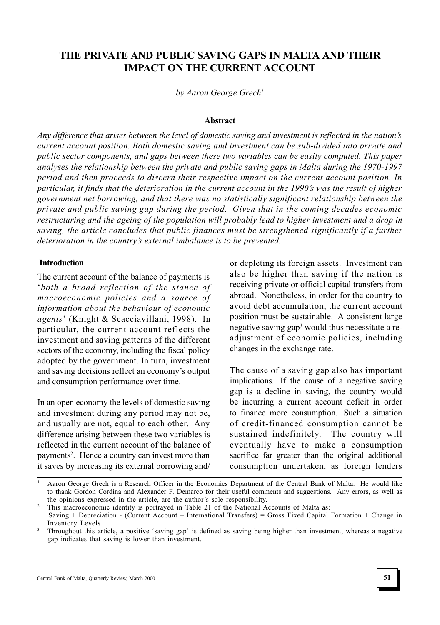# THE PRIVATE AND PUBLIC SAVING GAPS IN MALTA AND THEIR IMPACT ON THE CURRENT ACCOUNT

by Aaron George Grech<sup>1</sup>

### **Abstract**

Any difference that arises between the level of domestic saving and investment is reflected in the nation's current account position. Both domestic saving and investment can be sub-divided into private and public sector components, and gaps between these two variables can be easily computed. This paper analyses the relationship between the private and public saving gaps in Malta during the 1970-1997 period and then proceeds to discern their respective impact on the current account position. In particular, it finds that the deterioration in the current account in the 1990's was the result of higher government net borrowing, and that there was no statistically significant relationship between the private and public saving gap during the period. Given that in the coming decades economic restructuring and the ageing of the population will probably lead to higher investment and a drop in saving, the article concludes that public finances must be strengthened significantly if a further deterioration in the country's external imbalance is to be prevented.

#### Introduction

The current account of the balance of payments is both a broad reflection of the stance of macroeconomic policies and a source of information about the behaviour of economic agents' (Knight & Scacciavillani, 1998). In particular, the current account reflects the investment and saving patterns of the different sectors of the economy, including the fiscal policy adopted by the government. In turn, investment and saving decisions reflect an economy's output and consumption performance over time.

In an open economy the levels of domestic saving and investment during any period may not be, and usually are not, equal to each other. Any difference arising between these two variables is reflected in the current account of the balance of payments<sup>2</sup>. Hence a country can invest more than it saves by increasing its external borrowing and/ or depleting its foreign assets. Investment can also be higher than saving if the nation is receiving private or official capital transfers from abroad. Nonetheless, in order for the country to avoid debt accumulation, the current account position must be sustainable. A consistent large negative saving gap<sup>3</sup> would thus necessitate a readjustment of economic policies, including changes in the exchange rate.

The cause of a saving gap also has important implications. If the cause of a negative saving gap is a decline in saving, the country would be incurring a current account deficit in order to finance more consumption. Such a situation of credit-financed consumption cannot be sustained indefinitely. The country will eventually have to make a consumption sacrifice far greater than the original additional consumption undertaken, as foreign lenders

<sup>1</sup> Aaron George Grech is a Research Officer in the Economics Department of the Central Bank of Malta. He would like to thank Gordon Cordina and Alexander F. Demarco for their useful comments and suggestions. Any errors, as well as the opinions expressed in the article, are the author's sole responsibility.

<sup>&</sup>lt;sup>2</sup> This macroeconomic identity is portrayed in Table 21 of the National Accounts of Malta as:

Saving + Depreciation - (Current Account - International Transfers) = Gross Fixed Capital Formation + Change in Inventory Levels

<sup>&</sup>lt;sup>3</sup> Throughout this article, a positive 'saving gap' is defined as saving being higher than investment, whereas a negative gap indicates that saving is lower than investment.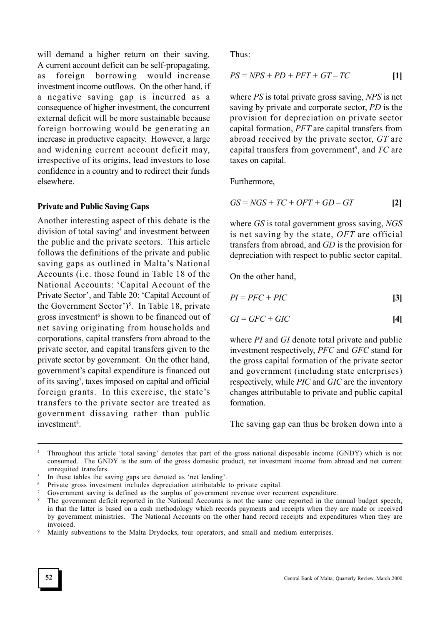will demand a higher return on their saving. A current account deficit can be self-propagating, as foreign borrowing would increase investment income outflows. On the other hand, if a negative saving gap is incurred as a consequence of higher investment, the concurrent external deficit will be more sustainable because foreign borrowing would be generating an increase in productive capacity. However, a large and widening current account deficit may, irrespective of its origins, lead investors to lose confidence in a country and to redirect their funds elsewhere.

### Private and Public Saving Gaps

Another interesting aspect of this debate is the division of total saving<sup>4</sup> and investment between the public and the private sectors. This article follows the definitions of the private and public saving gaps as outlined in Malta's National Accounts (i.e. those found in Table 18 of the National Accounts: Capital Account of the Private Sector', and Table 20: 'Capital Account of the Government Sector')<sup>5</sup>. In Table 18, private gross investment<sup>6</sup> is shown to be financed out of net saving originating from households and corporations, capital transfers from abroad to the private sector, and capital transfers given to the private sector by government. On the other hand, government's capital expenditure is financed out of its saving<sup>7</sup> , taxes imposed on capital and official foreign grants. In this exercise, the state's transfers to the private sector are treated as government dissaving rather than public investment<sup>8</sup>.

Thus:

$$
PS = NPS + PD + PFT + GT - TC \tag{1}
$$

where *PS* is total private gross saving, *NPS* is net saving by private and corporate sector, PD is the provision for depreciation on private sector capital formation, PFT are capital transfers from abroad received by the private sector, GT are capital transfers from government<sup>9</sup>, and  $TC$  are taxes on capital.

Furthermore,

$$
GS = NGS + TC + OPT + GD - GT \qquad [2]
$$

where GS is total government gross saving, NGS is net saving by the state, OFT are official transfers from abroad, and GD is the provision for depreciation with respect to public sector capital.

On the other hand,

$$
PI = PFC + PIC
$$
 [3]

$$
GI = GFC + GIC \tag{4}
$$

where PI and GI denote total private and public investment respectively, PFC and GFC stand for the gross capital formation of the private sector and government (including state enterprises) respectively, while PIC and GIC are the inventory changes attributable to private and public capital formation.

The saving gap can thus be broken down into a

Throughout this article 'total saving' denotes that part of the gross national disposable income (GNDY) which is not consumed. The GNDY is the sum of the gross domestic product, net investment income from abroad and net current unrequited transfers.

<sup>&</sup>lt;sup>5</sup> In these tables the saving gaps are denoted as 'net lending'.

<sup>&</sup>lt;sup>6</sup> Private gross investment includes depreciation attributable to private capital.

Government saving is defined as the surplus of government revenue over recurrent expenditure.

The government deficit reported in the National Accounts is not the same one reported in the annual budget speech, in that the latter is based on a cash methodology which records payments and receipts when they are made or received by government ministries. The National Accounts on the other hand record receipts and expenditures when they are invoiced.

Mainly subventions to the Malta Drydocks, tour operators, and small and medium enterprises.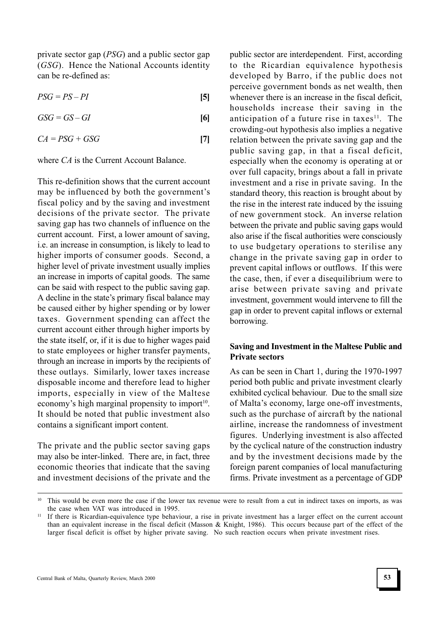private sector gap (PSG) and a public sector gap (GSG). Hence the National Accounts identity can be re-defined as:

 $PSG = PS - PI$  [5]

 $GSG = GS - GI$  [6]

$$
CA = PSG + GSG \tag{7}
$$

where CA is the Current Account Balance.

This re-definition shows that the current account may be influenced by both the government's fiscal policy and by the saving and investment decisions of the private sector. The private saving gap has two channels of influence on the current account. First, a lower amount of saving, i.e. an increase in consumption, is likely to lead to higher imports of consumer goods. Second, a higher level of private investment usually implies an increase in imports of capital goods. The same can be said with respect to the public saving gap. A decline in the state's primary fiscal balance may be caused either by higher spending or by lower taxes. Government spending can affect the current account either through higher imports by the state itself, or, if it is due to higher wages paid to state employees or higher transfer payments, through an increase in imports by the recipients of these outlays. Similarly, lower taxes increase disposable income and therefore lead to higher imports, especially in view of the Maltese economy's high marginal propensity to import<sup>10</sup>. It should be noted that public investment also contains a significant import content.

The private and the public sector saving gaps may also be inter-linked. There are, in fact, three economic theories that indicate that the saving and investment decisions of the private and the public sector are interdependent. First, according to the Ricardian equivalence hypothesis developed by Barro, if the public does not perceive government bonds as net wealth, then whenever there is an increase in the fiscal deficit, households increase their saving in the anticipation of a future rise in taxes $11$ . The crowding-out hypothesis also implies a negative relation between the private saving gap and the public saving gap, in that a fiscal deficit, especially when the economy is operating at or over full capacity, brings about a fall in private investment and a rise in private saving. In the standard theory, this reaction is brought about by the rise in the interest rate induced by the issuing of new government stock. An inverse relation between the private and public saving gaps would also arise if the fiscal authorities were consciously to use budgetary operations to sterilise any change in the private saving gap in order to prevent capital inflows or outflows. If this were the case, then, if ever a disequilibrium were to arise between private saving and private investment, government would intervene to fill the gap in order to prevent capital inflows or external borrowing.

## Saving and Investment in the Maltese Public and Private sectors

As can be seen in Chart 1, during the 1970-1997 period both public and private investment clearly exhibited cyclical behaviour. Due to the small size of Malta's economy, large one-off investments, such as the purchase of aircraft by the national airline, increase the randomness of investment figures. Underlying investment is also affected by the cyclical nature of the construction industry and by the investment decisions made by the foreign parent companies of local manufacturing firms. Private investment as a percentage of GDP

This would be even more the case if the lower tax revenue were to result from a cut in indirect taxes on imports, as was the case when VAT was introduced in 1995.

<sup>&</sup>lt;sup>11</sup> If there is Ricardian-equivalence type behaviour, a rise in private investment has a larger effect on the current account than an equivalent increase in the fiscal deficit (Masson & Knight, 1986). This occurs because part of the effect of the larger fiscal deficit is offset by higher private saving. No such reaction occurs when private investment rises.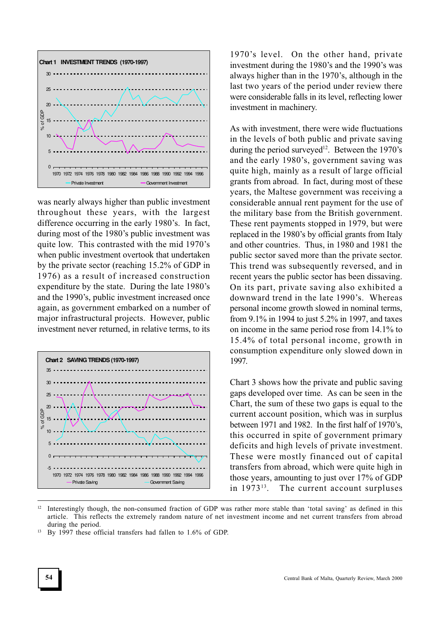

was nearly always higher than public investment throughout these years, with the largest difference occurring in the early 1980's. In fact, during most of the 1980's public investment was quite low. This contrasted with the mid 1970's when public investment overtook that undertaken by the private sector (reaching 15.2% of GDP in 1976) as a result of increased construction expenditure by the state. During the late 1980's and the 1990's, public investment increased once again, as government embarked on a number of major infrastructural projects. However, public investment never returned, in relative terms, to its



1970's level. On the other hand, private investment during the 1980's and the 1990's was always higher than in the 1970's, although in the last two years of the period under review there were considerable falls in its level, reflecting lower investment in machinery.

As with investment, there were wide fluctuations in the levels of both public and private saving during the period surveyed<sup>12</sup>. Between the 1970's and the early 1980's, government saving was quite high, mainly as a result of large official grants from abroad. In fact, during most of these years, the Maltese government was receiving a considerable annual rent payment for the use of the military base from the British government. These rent payments stopped in 1979, but were replaced in the 1980's by official grants from Italy and other countries. Thus, in 1980 and 1981 the public sector saved more than the private sector. This trend was subsequently reversed, and in recent years the public sector has been dissaving. On its part, private saving also exhibited a downward trend in the late 1990's. Whereas personal income growth slowed in nominal terms, from 9.1% in 1994 to just 5.2% in 1997, and taxes on income in the same period rose from 14.1% to 15.4% of total personal income, growth in consumption expenditure only slowed down in 1997.

Chart 3 shows how the private and public saving gaps developed over time. As can be seen in the Chart, the sum of these two gaps is equal to the current account position, which was in surplus between 1971 and 1982. In the first half of 1970's, this occurred in spite of government primary deficits and high levels of private investment. These were mostly financed out of capital transfers from abroad, which were quite high in those years, amounting to just over 17% of GDP in 1973<sup>13</sup>. The current account surpluses

 $12$  Interestingly though, the non-consumed fraction of GDP was rather more stable than 'total saving' as defined in this article. This reflects the extremely random nature of net investment income and net current transfers from abroad during the period.

<sup>13</sup> By 1997 these official transfers had fallen to 1.6% of GDP.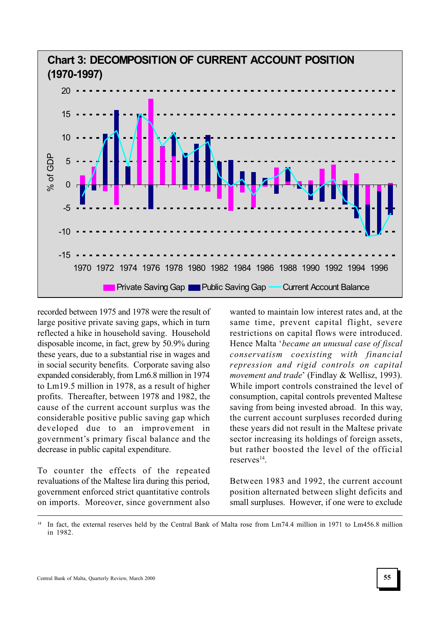

recorded between 1975 and 1978 were the result of large positive private saving gaps, which in turn reflected a hike in household saving. Household disposable income, in fact, grew by 50.9% during these years, due to a substantial rise in wages and in social security benefits. Corporate saving also expanded considerably, from Lm6.8 million in 1974 to Lm19.5 million in 1978, as a result of higher profits. Thereafter, between 1978 and 1982, the cause of the current account surplus was the considerable positive public saving gap which developed due to an improvement in government's primary fiscal balance and the decrease in public capital expenditure.

To counter the effects of the repeated revaluations of the Maltese lira during this period, government enforced strict quantitative controls on imports. Moreover, since government also wanted to maintain low interest rates and, at the same time, prevent capital flight, severe restrictions on capital flows were introduced. Hence Malta 'became an unusual case of fiscal conservatism coexisting with financial repression and rigid controls on capital movement and trade' (Findlay & Wellisz, 1993). While import controls constrained the level of consumption, capital controls prevented Maltese saving from being invested abroad. In this way, the current account surpluses recorded during these years did not result in the Maltese private sector increasing its holdings of foreign assets, but rather boosted the level of the official reserves<sup>14</sup>.

Between 1983 and 1992, the current account position alternated between slight deficits and small surpluses. However, if one were to exclude

In fact, the external reserves held by the Central Bank of Malta rose from Lm74.4 million in 1971 to Lm456.8 million in 1982.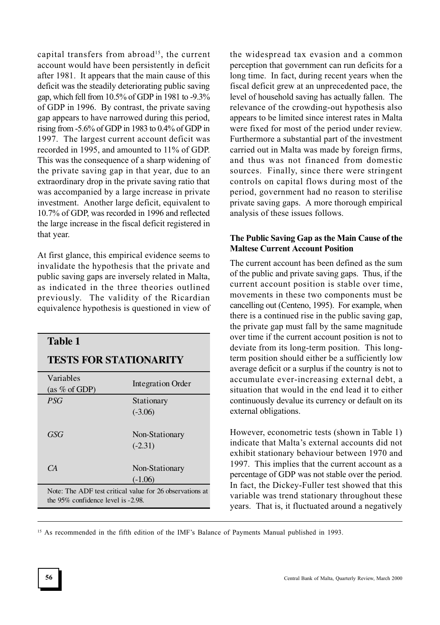capital transfers from abroad<sup>15</sup>, the current account would have been persistently in deficit after 1981. It appears that the main cause of this deficit was the steadily deteriorating public saving gap, which fell from 10.5% of GDP in 1981 to -9.3% of GDP in 1996. By contrast, the private saving gap appears to have narrowed during this period, rising from -5.6% of GDP in 1983 to 0.4% of GDP in 1997. The largest current account deficit was recorded in 1995, and amounted to 11% of GDP. This was the consequence of a sharp widening of the private saving gap in that year, due to an extraordinary drop in the private saving ratio that was accompanied by a large increase in private investment. Another large deficit, equivalent to 10.7% of GDP, was recorded in 1996 and reflected the large increase in the fiscal deficit registered in that year.

At first glance, this empirical evidence seems to invalidate the hypothesis that the private and public saving gaps are inversely related in Malta, as indicated in the three theories outlined previously. The validity of the Ricardian equivalence hypothesis is questioned in view of

# **Table 1**

## **TESTS FOR STATIONARITY**

| Variables                                                                                      | Integration Order |
|------------------------------------------------------------------------------------------------|-------------------|
| (as $%$ of GDP)                                                                                |                   |
| PSG                                                                                            | Stationary        |
|                                                                                                | $(-3.06)$         |
|                                                                                                |                   |
| GSG                                                                                            | Non-Stationary    |
|                                                                                                | $(-2.31)$         |
|                                                                                                |                   |
| CA                                                                                             | Non-Stationary    |
|                                                                                                | $(-1.06)$         |
| Note: The ADF test critical value for 26 observations at<br>the 95% confidence level is -2.98. |                   |

the widespread tax evasion and a common perception that government can run deficits for a long time. In fact, during recent years when the fiscal deficit grew at an unprecedented pace, the level of household saving has actually fallen. The relevance of the crowding-out hypothesis also appears to be limited since interest rates in Malta were fixed for most of the period under review. Furthermore a substantial part of the investment carried out in Malta was made by foreign firms, and thus was not financed from domestic sources. Finally, since there were stringent controls on capital flows during most of the period, government had no reason to sterilise private saving gaps. A more thorough empirical analysis of these issues follows.

## The Public Saving Gap as the Main Cause of the Maltese Current Account Position

The current account has been defined as the sum of the public and private saving gaps. Thus, if the current account position is stable over time, movements in these two components must be cancelling out (Centeno, 1995). For example, when there is a continued rise in the public saving gap, the private gap must fall by the same magnitude over time if the current account position is not to deviate from its long-term position. This longterm position should either be a sufficiently low average deficit or a surplus if the country is not to accumulate ever-increasing external debt, a situation that would in the end lead it to either continuously devalue its currency or default on its external obligations.

However, econometric tests (shown in Table 1) indicate that Malta's external accounts did not exhibit stationary behaviour between 1970 and 1997. This implies that the current account as a percentage of GDP was not stable over the period. In fact, the Dickey-Fuller test showed that this variable was trend stationary throughout these years. That is, it fluctuated around a negatively

<sup>15</sup> As recommended in the fifth edition of the IMF's Balance of Payments Manual published in 1993.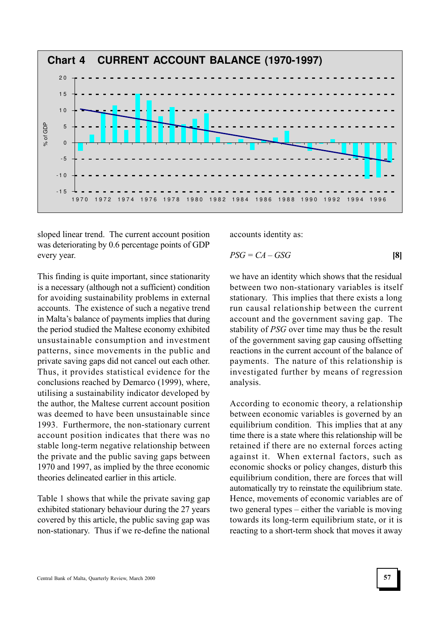

sloped linear trend. The current account position was deteriorating by 0.6 percentage points of GDP every year.

This finding is quite important, since stationarity is a necessary (although not a sufficient) condition for avoiding sustainability problems in external accounts. The existence of such a negative trend in Malta's balance of payments implies that during the period studied the Maltese economy exhibited unsustainable consumption and investment patterns, since movements in the public and private saving gaps did not cancel out each other. Thus, it provides statistical evidence for the conclusions reached by Demarco (1999), where, utilising a sustainability indicator developed by the author, the Maltese current account position was deemed to have been unsustainable since 1993. Furthermore, the non-stationary current account position indicates that there was no stable long-term negative relationship between the private and the public saving gaps between 1970 and 1997, as implied by the three economic theories delineated earlier in this article.

Table 1 shows that while the private saving gap exhibited stationary behaviour during the 27 years covered by this article, the public saving gap was non-stationary. Thus if we re-define the national accounts identity as:

$$
PSG = CA - GSG \tag{8}
$$

we have an identity which shows that the residual between two non-stationary variables is itself stationary. This implies that there exists a long run causal relationship between the current account and the government saving gap. The stability of PSG over time may thus be the result of the government saving gap causing offsetting reactions in the current account of the balance of payments. The nature of this relationship is investigated further by means of regression analysis.

According to economic theory, a relationship between economic variables is governed by an equilibrium condition. This implies that at any time there is a state where this relationship will be retained if there are no external forces acting against it. When external factors, such as economic shocks or policy changes, disturb this equilibrium condition, there are forces that will automatically try to reinstate the equilibrium state. Hence, movements of economic variables are of two general types  $-$  either the variable is moving towards its long-term equilibrium state, or it is reacting to a short-term shock that moves it away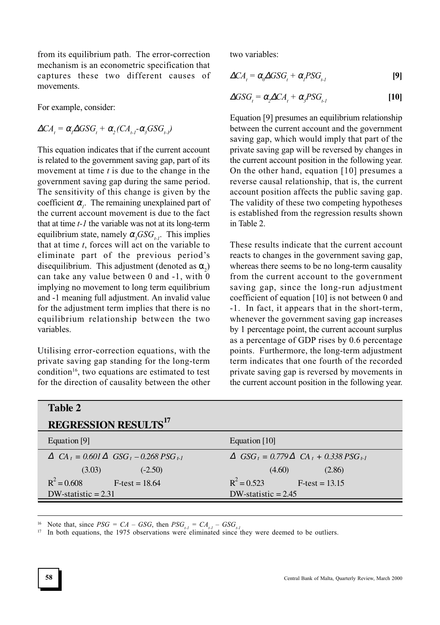from its equilibrium path. The error-correction mechanism is an econometric specification that captures these two different causes of movements.

For example, consider:

$$
\Delta CA_{t} = \alpha_{t} \Delta GSG_{t} + \alpha_{2} (CA_{t-1} - \alpha_{3} GSG_{t-1})
$$

This equation indicates that if the current account is related to the government saving gap, part of its movement at time  $t$  is due to the change in the government saving gap during the same period. The sensitivity of this change is given by the coefficient  $\alpha_i$ . The remaining unexplained part of the current account movement is due to the fact that at time  $t-1$  the variable was not at its long-term equilibrium state, namely  $\alpha_s GSG_{t,t}$ . This implies that at time  $t$ , forces will act on the variable to eliminate part of the previous period's disequilibrium. This adjustment (denoted as  $\alpha_2$ ) can take any value between  $0$  and  $-1$ , with  $0$ implying no movement to long term equilibrium and -1 meaning full adjustment. An invalid value for the adjustment term implies that there is no equilibrium relationship between the two variables.

Utilising error-correction equations, with the private saving gap standing for the long-term condition<sup>16</sup>, two equations are estimated to test for the direction of causality between the other two variables:

$$
\Delta CA_{t} = \alpha_{0} \Delta GSG_{t} + \alpha_{1} PSG_{t} \tag{9}
$$

$$
\Delta GSG_t = \alpha_2 \Delta CA_t + \alpha_3 PSG_{t-1}
$$
 [10]

Equation [9] presumes an equilibrium relationship between the current account and the government saving gap, which would imply that part of the private saving gap will be reversed by changes in the current account position in the following year. On the other hand, equation [10] presumes a reverse causal relationship, that is, the current account position affects the public saving gap. The validity of these two competing hypotheses is established from the regression results shown in Table 2.

These results indicate that the current account reacts to changes in the government saving gap, whereas there seems to be no long-term causality from the current account to the government saving gap, since the long-run adjustment coefficient of equation [10] is not between 0 and -1. In fact, it appears that in the short-term, whenever the government saving gap increases by 1 percentage point, the current account surplus as a percentage of GDP rises by 0.6 percentage points. Furthermore, the long-term adjustment term indicates that one fourth of the recorded private saving gap is reversed by movements in the current account position in the following year.

| Table 2                                                                               |                                                                                             |
|---------------------------------------------------------------------------------------|---------------------------------------------------------------------------------------------|
| <b>REGRESSION RESULTS</b> <sup>17</sup>                                               |                                                                                             |
| Equation [9]                                                                          | Equation $[10]$                                                                             |
| $\Delta$ CA <sub>t</sub> = 0.601 $\Delta$ GSG <sub>t</sub> – 0.268 PSG <sub>t-1</sub> | $\triangle$ GSG <sub>t</sub> = 0.779 $\triangle$ CA <sub>t</sub> + 0.338 PSG <sub>t-1</sub> |
| (3.03)<br>$(-2.50)$                                                                   | (4.60)<br>(2.86)                                                                            |
| $R^2 = 0.608$<br>$F-test = 18.64$                                                     | $R^2 = 0.523$<br>$F-test = 13.15$                                                           |
| $DW$ -statistic = 2.31                                                                | DW-statistic $= 2.45$                                                                       |

<sup>16</sup> Note that, since  $PSG = CA - GSG$ , then  $PSG_{t-1} = CA_{t-1} - GSG_{t-1}$ <br><sup>17</sup> In both equations the 1975 observations were eliminated since 1

In both equations, the 1975 observations were eliminated since they were deemed to be outliers.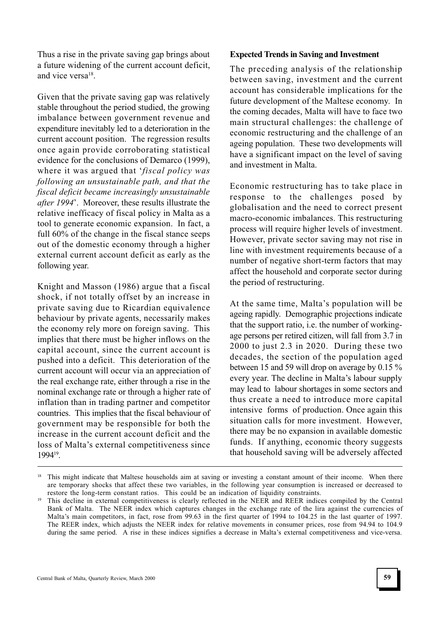Thus a rise in the private saving gap brings about a future widening of the current account deficit, and vice versa<sup>18</sup>.

Given that the private saving gap was relatively stable throughout the period studied, the growing imbalance between government revenue and expenditure inevitably led to a deterioration in the current account position. The regression results once again provide corroborating statistical evidence for the conclusions of Demarco (1999), where it was argued that 'fiscal policy was following an unsustainable path, and that the fiscal deficit became increasingly unsustainable after 1994. Moreover, these results illustrate the relative inefficacy of fiscal policy in Malta as a tool to generate economic expansion. In fact, a full 60% of the change in the fiscal stance seeps out of the domestic economy through a higher external current account deficit as early as the following year.

Knight and Masson (1986) argue that a fiscal shock, if not totally offset by an increase in private saving due to Ricardian equivalence behaviour by private agents, necessarily makes the economy rely more on foreign saving. This implies that there must be higher inflows on the capital account, since the current account is pushed into a deficit. This deterioration of the current account will occur via an appreciation of the real exchange rate, either through a rise in the nominal exchange rate or through a higher rate of inflation than in trading partner and competitor countries. This implies that the fiscal behaviour of government may be responsible for both the increase in the current account deficit and the loss of Malta's external competitiveness since 1994<sup>19</sup> .

## Expected Trends in Saving and Investment

The preceding analysis of the relationship between saving, investment and the current account has considerable implications for the future development of the Maltese economy. In the coming decades, Malta will have to face two main structural challenges: the challenge of economic restructuring and the challenge of an ageing population. These two developments will have a significant impact on the level of saving and investment in Malta.

Economic restructuring has to take place in response to the challenges posed by globalisation and the need to correct present macro-economic imbalances. This restructuring process will require higher levels of investment. However, private sector saving may not rise in line with investment requirements because of a number of negative short-term factors that may affect the household and corporate sector during the period of restructuring.

At the same time, Malta's population will be ageing rapidly. Demographic projections indicate that the support ratio, i.e. the number of workingage persons per retired citizen, will fall from 3.7 in 2000 to just 2.3 in 2020. During these two decades, the section of the population aged between 15 and 59 will drop on average by 0.15 % every year. The decline in Malta's labour supply may lead to labour shortages in some sectors and thus create a need to introduce more capital intensive forms of production. Once again this situation calls for more investment. However, there may be no expansion in available domestic funds. If anything, economic theory suggests that household saving will be adversely affected

<sup>&</sup>lt;sup>18</sup> This might indicate that Maltese households aim at saving or investing a constant amount of their income. When there are temporary shocks that affect these two variables, in the following year consumption is increased or decreased to restore the long-term constant ratios. This could be an indication of liquidity constraints.

<sup>19</sup> This decline in external competitiveness is clearly reflected in the NEER and REER indices compiled by the Central Bank of Malta. The NEER index which captures changes in the exchange rate of the lira against the currencies of Malta's main competitors, in fact, rose from 99.63 in the first quarter of 1994 to 104.25 in the last quarter of 1997. The REER index, which adjusts the NEER index for relative movements in consumer prices, rose from 94.94 to 104.9 during the same period. A rise in these indices signifies a decrease in Malta's external competitiveness and vice-versa.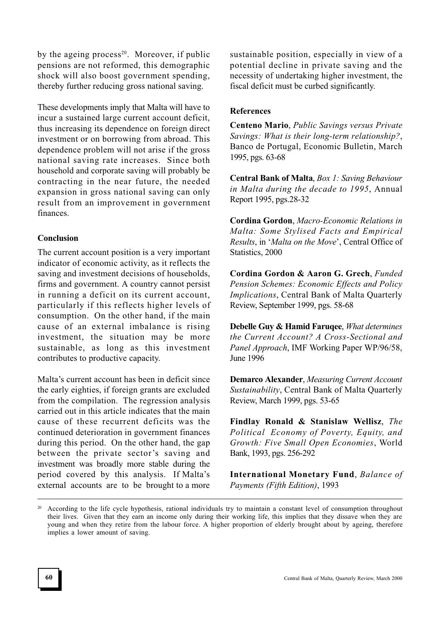by the ageing process<sup>20</sup>. Moreover, if public pensions are not reformed, this demographic shock will also boost government spending, thereby further reducing gross national saving.

These developments imply that Malta will have to incur a sustained large current account deficit, thus increasing its dependence on foreign direct investment or on borrowing from abroad. This dependence problem will not arise if the gross national saving rate increases. Since both household and corporate saving will probably be contracting in the near future, the needed expansion in gross national saving can only result from an improvement in government finances.

## Conclusion

The current account position is a very important indicator of economic activity, as it reflects the saving and investment decisions of households, firms and government. A country cannot persist in running a deficit on its current account, particularly if this reflects higher levels of consumption. On the other hand, if the main cause of an external imbalance is rising investment, the situation may be more sustainable, as long as this investment contributes to productive capacity.

Malta's current account has been in deficit since the early eighties, if foreign grants are excluded from the compilation. The regression analysis carried out in this article indicates that the main cause of these recurrent deficits was the continued deterioration in government finances during this period. On the other hand, the gap between the private sector's saving and investment was broadly more stable during the period covered by this analysis. If Malta's external accounts are to be brought to a more sustainable position, especially in view of a potential decline in private saving and the necessity of undertaking higher investment, the fiscal deficit must be curbed significantly.

## References

Centeno Mario, Public Savings versus Private Savings: What is their long-term relationship?, Banco de Portugal, Economic Bulletin, March 1995, pgs. 63-68

Central Bank of Malta, Box 1: Saving Behaviour in Malta during the decade to 1995, Annual Report 1995, pgs.28-32

Cordina Gordon, Macro-Economic Relations in Malta: Some Stylised Facts and Empirical Results, in 'Malta on the Move', Central Office of Statistics, 2000

Cordina Gordon & Aaron G. Grech, Funded Pension Schemes: Economic Effects and Policy Implications, Central Bank of Malta Quarterly Review, September 1999, pgs. 58-68

Debelle Guy & Hamid Faruqee, What determines the Current Account? A Cross-Sectional and Panel Approach, IMF Working Paper WP/96/58, June 1996

Demarco Alexander, Measuring Current Account Sustainability, Central Bank of Malta Quarterly Review, March 1999, pgs. 53-65

Findlay Ronald & Stanislaw Wellisz, The Political Economy of Poverty, Equity, and Growth: Five Small Open Economies, World Bank, 1993, pgs. 256-292

International Monetary Fund, Balance of Payments (Fifth Edition), 1993

According to the life cycle hypothesis, rational individuals try to maintain a constant level of consumption throughout their lives. Given that they earn an income only during their working life, this implies that they dissave when they are young and when they retire from the labour force. A higher proportion of elderly brought about by ageing, therefore implies a lower amount of saving.